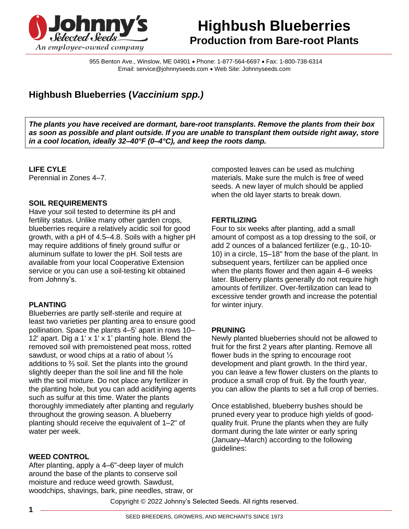

# **Highbush Blueberries Production from Bare-root Plants**

955 Benton Ave., Winslow, ME 04901 • Phone: 1-877-564-6697 • Fax: 1-800-738-6314 Email: service@johnnyseeds.com • Web Site: Johnnyseeds.com

# **Highbush Blueberries (***Vaccinium spp.)*

*The plants you have received are dormant, bare-root transplants. Remove the plants from their box as soon as possible and plant outside. If you are unable to transplant them outside right away, store in a cool location, ideally 32–40°F (0–4°C), and keep the roots damp.*

#### **LIFE CYLE**

Perennial in Zones 4–7.

# **SOIL REQUIREMENTS**

Have your soil tested to determine its pH and fertility status. Unlike many other garden crops, blueberries require a relatively acidic soil for good growth, with a pH of 4.5–4.8. Soils with a higher pH may require additions of finely ground sulfur or aluminum sulfate to lower the pH. Soil tests are available from your local Cooperative Extension service or you can use a soil-testing kit obtained from Johnny's.

#### **PLANTING**

Blueberries are partly self-sterile and require at least two varieties per planting area to ensure good pollination. Space the plants 4–5' apart in rows 10– 12' apart. Dig a 1' x 1' x 1' planting hole. Blend the removed soil with premoistened peat moss, rotted sawdust, or wood chips at a ratio of about ⅓ additions to ⅔ soil. Set the plants into the ground slightly deeper than the soil line and fill the hole with the soil mixture. Do not place any fertilizer in the planting hole, but you can add acidifying agents such as sulfur at this time. Water the plants thoroughly immediately after planting and regularly throughout the growing season. A blueberry planting should receive the equivalent of 1–2" of water per week.

#### **WEED CONTROL**

After planting, apply a 4–6"-deep layer of mulch around the base of the plants to conserve soil moisture and reduce weed growth. Sawdust, woodchips, shavings, bark, pine needles, straw, or composted leaves can be used as mulching materials. Make sure the mulch is free of weed seeds. A new layer of mulch should be applied when the old layer starts to break down.

# **FERTILIZING**

Four to six weeks after planting, add a small amount of compost as a top dressing to the soil, or add 2 ounces of a balanced fertilizer (e.g., 10-10- 10) in a circle, 15–18" from the base of the plant. In subsequent years, fertilizer can be applied once when the plants flower and then again 4–6 weeks later. Blueberry plants generally do not require high amounts of fertilizer. Over-fertilization can lead to excessive tender growth and increase the potential for winter injury.

# **PRUNING**

Newly planted blueberries should not be allowed to fruit for the first 2 years after planting. Remove all flower buds in the spring to encourage root development and plant growth. In the third year, you can leave a few flower clusters on the plants to produce a small crop of fruit. By the fourth year, you can allow the plants to set a full crop of berries.

Once established, blueberry bushes should be pruned every year to produce high yields of goodquality fruit. Prune the plants when they are fully dormant during the late winter or early spring (January–March) according to the following guidelines:

Copyright © 2022 Johnny's Selected Seeds. All rights reserved.